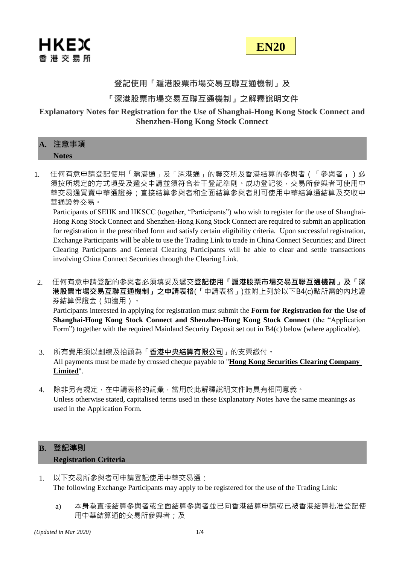

### **登記使用「滬港股票市場交易互聯互通機制」及**

#### **「深港股票市場交易互聯互通機制」之解釋說明文件**

### **Explanatory Notes for Registration for the Use of Shanghai-Hong Kong Stock Connect and Shenzhen-Hong Kong Stock Connect**

| A. | 注意事項         |
|----|--------------|
|    | <b>Notes</b> |

1. 任何有意申請登記使用「滬港通」及「深港通」的聯交所及香港結算的參與者(「參與者」)必 須按所規定的方式填妥及遞交申請並須符合若干登記準則。成功登記後,交易所參與者可使用中 華交易通買賣中華通證券;直接結算參與者和全面結算參與者則可使用中華結算通結算及交收中 華通證券交易。

Participants of SEHK and HKSCC (together, "Participants") who wish to register for the use of Shanghai-Hong Kong Stock Connect and Shenzhen-Hong Kong Stock Connect are required to submit an application for registration in the prescribed form and satisfy certain eligibility criteria. Upon successful registration, Exchange Participants will be able to use the Trading Link to trade in China Connect Securities; and Direct Clearing Participants and General Clearing Participants will be able to clear and settle transactions involving China Connect Securities through the Clearing Link.

- 2. 任何有意申請登記的參與者必須填妥及遞交**登記使用「滬港股票市場交易互聯互通機制」及「深 港股票市場交易互聯互通機制」之申請表格**(「申請表格」)並附上列於以下B4(c)點所需的內地證 券結算保證金(如適用)。 Participants interested in applying for registration must submit the **Form for Registration for the Use of Shanghai-Hong Kong Stock Connect and Shenzhen-Hong Kong Stock Connect** (the "Application Form") together with the required Mainland Security Deposit set out in B4(c) below (where applicable).
- 3. 所有費用須以劃線及抬頭為「**香港中央結算有限公司**」的支票繳付。 All payments must be made by crossed cheque payable to "**Hong Kong Securities Clearing Company Limited**".
- 4. 除非另有規定,在申請表格的詞彙,當用於此解釋說明文件時具有相同意義。 Unless otherwise stated, capitalised terms used in these Explanatory Notes have the same meanings as used in the Application Form.

## **B. 登記準則 Registration Criteria**

- 1. 以下交易所參與者可申請登記使用中華交易通: The following Exchange Participants may apply to be registered for the use of the Trading Link:
	- a) 本身為直接結算參與者或全面結算參與者並已向香港結算申請或已被香港結算批准登記使 用中華結算通的交易所參與者;及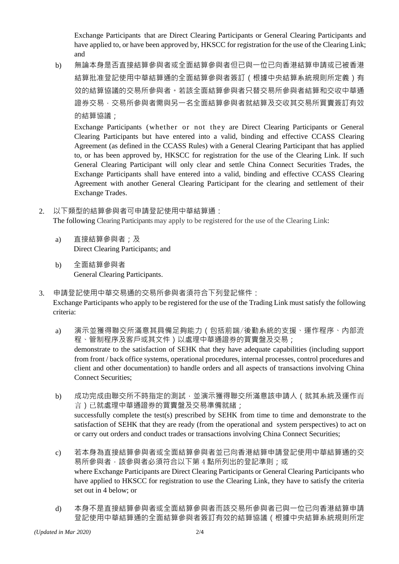Exchange Participants that are Direct Clearing Participants or General Clearing Participants and have applied to, or have been approved by, HKSCC for registration for the use of the Clearing Link; and

b) 無論本身是否直接結算參與者或全面結算參與者但已與一位已向香港結算申請或已被香港 結算批准登記使用中華結算通的全面結算參與者簽訂(根據中央結算系統規則所定義)有 效的結算協議的交易所參與者。若該全面結算參與者只替交易所參與者結算和交收中華通 證券交易,交易所參與者需與另一名全面結算參與者就結算及交收其交易所買賣簽訂有效 的結算協議:

Exchange Participants (whether or not they are Direct Clearing Participants or General Clearing Participants but have entered into a valid, binding and effective CCASS Clearing Agreement (as defined in the CCASS Rules) with a General Clearing Participant that has applied to, or has been approved by, HKSCC for registration for the use of the Clearing Link. If such General Clearing Participant will only clear and settle China Connect Securities Trades, the Exchange Participants shall have entered into a valid, binding and effective CCASS Clearing Agreement with another General Clearing Participant for the clearing and settlement of their Exchange Trades.

2. 以下類型的結算參與者可申請登記使用中華結算通:

The following Clearing Participants may apply to be registered for the use of the Clearing Link:

- a) 直接結算參與者;及 Direct Clearing Participants; and
- b) 全面結算參與者 General Clearing Participants.
- 3. 申請登記使用中華交易通的交易所參與者須符合下列登記條件: Exchange Participants who apply to be registered for the use of the Trading Link must satisfy the following criteria:
	- a) 演示並獲得聯交所滿意其具備足夠能力(包括前端/後勤系統的支援、運作程序、內部流 程、管制程序及客戶或其文件)以處理中華通證券的買賣盤及交易; demonstrate to the satisfaction of SEHK that they have adequate capabilities (including support from front / back office systems, operational procedures, internal processes, control procedures and client and other documentation) to handle orders and all aspects of transactions involving China Connect Securities;
	- b) 成功完成由聯交所不時指定的測試,並演示獲得聯交所滿意該申請人(就其系統及運作而 言)已就處理中華通證券的買賣盤及交易準備就緒; successfully complete the test(s) prescribed by SEHK from time to time and demonstrate to the satisfaction of SEHK that they are ready (from the operational and system perspectives) to act on or carry out orders and conduct trades or transactions involving China Connect Securities;
	- c) 若本身為直接結算參與者或全面結算參與者並已向香港結算申請登記使用中華結算通的交 易所參與者,該參與者必須符合以下第 4 點所列出的登記準則;或 where Exchange Participants are Direct Clearing Participants or General Clearing Participants who have applied to HKSCC for registration to use the Clearing Link, they have to satisfy the criteria set out in 4 below; or
	- d) 本身不是直接結算參與者或全面結算參與者而該交易所參與者已與一位已向香港結算申請 登記使用中華結算通的全面結算參與者簽訂有效的結算協議(根據中央結算系統規則所定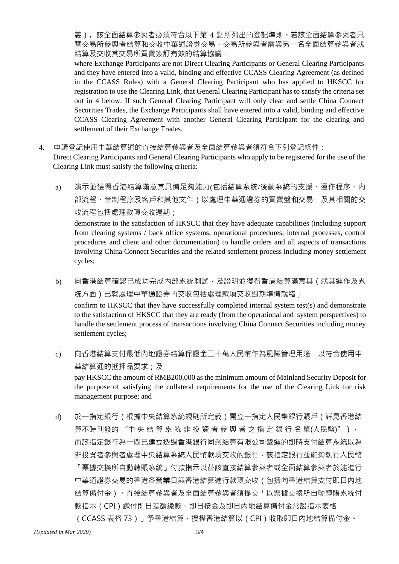義),該全面結算參與者必須符合以下第 4 點所列出的登記準則。若該全面結算參與者只 替交易所參與者結算和交收中華通證券交易,交易所參與者需與另一名全面結算參與者就 結算及交收其交易所買賣簽訂有效的結算協議。

where Exchange Participants are not Direct Clearing Participants or General Clearing Participants and they have entered into a valid, binding and effective CCASS Clearing Agreement (as defined in the CCASS Rules) with a General Clearing Participant who has applied to HKSCC for registration to use the Clearing Link, that General Clearing Participant has to satisfy the criteria set out in 4 below. If such General Clearing Participant will only clear and settle China Connect Securities Trades, the Exchange Participants shall have entered into a valid, binding and effective CCASS Clearing Agreement with another General Clearing Participant for the clearing and settlement of their Exchange Trades.

4. 申請登記使用中華結算通的直接結算參與者及全面結算參與者須符合下列登記條件:

Direct Clearing Participants and General Clearing Participants who apply to be registered for the use of the Clearing Link must satisfy the following criteria:

a) 演示並獲得香港結算滿意其具備足夠能力(包括結算系統/後勤系統的支援、運作程序、內 部流程、管制程序及客戶和其他文件)以處理中華通證券的買賣盤和交易,及其相關的交 收流程包括處理款項交收週期;

demonstrate to the satisfaction of HKSCC that they have adequate capabilities (including support from clearing systems / back office systems, operational procedures, internal processes, control procedures and client and other documentation) to handle orders and all aspects of transactions involving China Connect Securities and the related settlement process including money settlement cycles;

b) 向香港結算確認已成功完成內部系統測試,及證明並獲得香港結算滿意其 ( 就其運作及系 統方面)已就處理中華通證券的交收包括處理款項交收週期準備就緒;

confirm to HKSCC that they have successfully completed internal system test(s) and demonstrate to the satisfaction of HKSCC that they are ready (from the operational and system perspectives) to handle the settlement process of transactions involving China Connect Securities including money settlement cycles;

c) 向香港結算支付最低內地證券結算保證金二十萬人民幣作為風險管理用途,以符合使用中 華結算通的抵押品要求;及

pay HKSCC the amount of RMB200,000 as the minimum amount of Mainland Security Deposit for the purpose of satisfying the collateral requirements for the use of the Clearing Link for risk management purpose; and

d) 於一指定銀行(根據中央結算系統規則所定義)開立一指定人民幣銀行賬戶(詳見香港結 算不時刊發的"中 央 結 算 系 統 非 投 資 者 參 與 者 之 指 定 銀 行 名 單(人民幣)"), 而該指定銀行為一間已建立透過香港銀行同業結算有限公司營運的即時支付結算系統以為 非投資者參與者處理中央結算系統人民幣款項交收的銀行,該指定銀行並能夠執行人民幣 「票據交換所自動轉賬系統」付款指示以替該直接結算參與者或全面結算參與者於能進行 中華通證券交易的香港各營業日與香港結算進行款項交收(包括向香港結算支付即日內地 結算備付金)。直接結算參與者及全面結算參與者須提交「以票據交換所自動轉賬系統付 款指示(CPI)繳付即日差額繳款、即日按金及即日內地結算備付金常設指示表格 (CCASS 表格 73) 」予香港結算,授權香港結算以 (CPI)收取即日內地結算備付金。